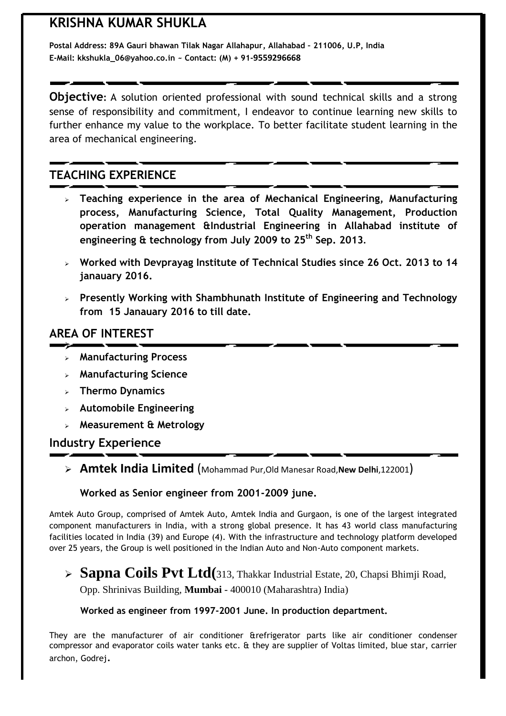# **KRISHNA KUMAR SHUKLA**

**Postal Address: 89A Gauri bhawan Tilak Nagar Allahapur, Allahabad – 211006, U.P, India E-Mail: kkshukla\_06@yahoo.co.in ~ Contact: (M) + 91-9559296668**

**Objective**: A solution oriented professional with sound technical skills and a strong sense of responsibility and commitment, I endeavor to continue learning new skills to further enhance my value to the workplace. To better facilitate student learning in the area of mechanical engineering.

## **TEACHING EXPERIENCE**

- **Teaching experience in the area of Mechanical Engineering, Manufacturing process, Manufacturing Science, Total Quality Management, Production operation management &Industrial Engineering in Allahabad institute of engineering & technology from July 2009 to 25th Sep. 2013.**
- **Worked with Devprayag Institute of Technical Studies since 26 Oct. 2013 to 14 janauary 2016.**
- **Presently Working with Shambhunath Institute of Engineering and Technology from 15 Janauary 2016 to till date.**

## **AREA OF INTEREST**

- ≻ **Manufacturing Process**
- **Manufacturing Science**
- **Thermo Dynamics**
- **Automobile Engineering**
- **Measurement & Metrology**

### **Industry Experience**

**Amtek India Limited** (Mohammad Pur,Old Manesar Road,**New Delhi**,122001)

### **Worked as Senior engineer from 2001-2009 june.**

Amtek Auto Group, comprised of Amtek Auto, Amtek India and Gurgaon, is one of the largest integrated component manufacturers in India, with a strong global presence. It has 43 world class manufacturing facilities located in India (39) and Europe (4). With the infrastructure and technology platform developed over 25 years, the Group is well positioned in the Indian Auto and Non-Auto component markets.

# **Sapna Coils Pvt Ltd(**313, Thakkar Industrial Estate, 20, Chapsi Bhimji Road,

Opp. Shrinivas Building, **Mumbai** - 400010 (Maharashtra) India)

### **Worked as engineer from 1997-2001 June. In production department.**

They are the manufacturer of air conditioner &refrigerator parts like air conditioner condenser compressor and evaporator coils water tanks etc. & they are supplier of Voltas limited, blue star, carrier archon, Godrej.